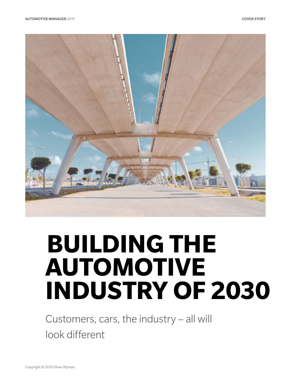

# **BUILDING THE AUTOMOTIVE INDUSTRY OF 2030**

Customers, cars, the industry – all will look different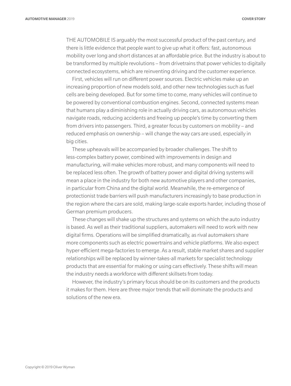THE AUTOMOBILE IS arguably the most successful product of the past century, and there is little evidence that people want to give up what it offers: fast, autonomous mobility over long and short distances at an affordable price. But the industry is about to be transformed by multiple revolutions – from drivetrains that power vehicles to digitally connected ecosystems, which are reinventing driving and the customer experience.

First, vehicles will run on different power sources. Electric vehicles make up an increasing proportion of new models sold, and other new technologies such as fuel cells are being developed. But for some time to come, many vehicles will continue to be powered by conventional combustion engines. Second, connected systems mean that humans play a diminishing role in actually driving cars, as autonomous vehicles navigate roads, reducing accidents and freeing up people's time by converting them from drivers into passengers. Third, a greater focus by customers on mobility – and reduced emphasis on ownership – will change the way cars are used, especially in big cities.

These upheavals will be accompanied by broader challenges. The shift to less-complex battery power, combined with improvements in design and manufacturing, will make vehicles more robust, and many components will need to be replaced less often. The growth of battery power and digital driving systems will mean a place in the industry for both new automotive players and other companies, in particular from China and the digital world. Meanwhile, the re-emergence of protectionist trade barriers will push manufacturers increasingly to base production in the region where the cars are sold, making large-scale exports harder, including those of German premium producers.

These changes will shake up the structures and systems on which the auto industry is based. As well as their traditional suppliers, automakers will need to work with new digital firms. Operations will be simplified dramatically, as rival automakers share more components such as electric powertrains and vehicle platforms. We also expect hyper-efficient mega-factories to emerge. As a result, stable market shares and supplier relationships will be replaced by winner-takes-all markets for specialist technology products that are essential for making or using cars effectively. These shifts will mean the industry needs a workforce with different skillsets from today.

However, the industry's primary focus should be on its customers and the products it makes for them. Here are three major trends that will dominate the products and solutions of the new era.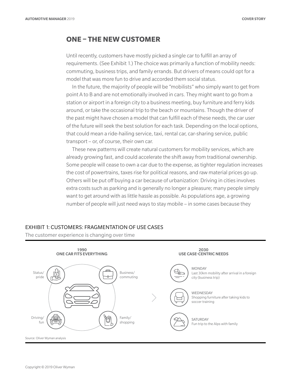## **ONE – THE NEW CUSTOMER**

Until recently, customers have mostly picked a single car to fulfill an array of requirements. (See Exhibit 1.) The choice was primarily a function of mobility needs: commuting, business trips, and family errands. But drivers of means could opt for a model that was more fun to drive and accorded them social status.

In the future, the majority of people will be "mobilists" who simply want to get from point A to B and are not emotionally involved in cars. They might want to go from a station or airport in a foreign city to a business meeting, buy furniture and ferry kids around, or take the occasional trip to the beach or mountains. Though the driver of the past might have chosen a model that can fulfill each of these needs, the car user of the future will seek the best solution for each task. Depending on the local options, that could mean a ride-hailing service, taxi, rental car, car-sharing service, public transport – or, of course, their own car.

These new patterns will create natural customers for mobility services, which are already growing fast, and could accelerate the shift away from traditional ownership. Some people will cease to own a car due to the expense, as tighter regulation increases the cost of powertrains, taxes rise for political reasons, and raw material prices go up. Others will be put off buying a car because of urbanization: Driving in cities involves extra costs such as parking and is generally no longer a pleasure; many people simply want to get around with as little hassle as possible. As populations age, a growing number of people will just need ways to stay mobile – in some cases because they

#### EXHIBIT 1: CUSTOMERS: FRAGMENTATION OF USE CASES

The customer experience is changing over time

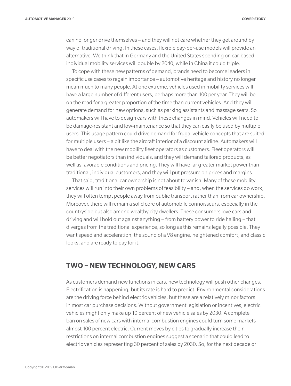can no longer drive themselves – and they will not care whether they get around by way of traditional driving. In these cases, flexible pay-per-use models will provide an alternative. We think that in Germany and the United States spending on car-based individual mobility services will double by 2040, while in China it could triple.

To cope with these new patterns of demand, brands need to become leaders in specific use cases to regain importance – automotive heritage and history no longer mean much to many people. At one extreme, vehicles used in mobility services will have a large number of different users, perhaps more than 100 per year. They will be on the road for a greater proportion of the time than current vehicles. And they will generate demand for new options, such as parking assistants and massage seats. So automakers will have to design cars with these changes in mind. Vehicles will need to be damage-resistant and low-maintenance so that they can easily be used by multiple users. This usage pattern could drive demand for frugal vehicle concepts that are suited for multiple users – a bit like the aircraft interior of a discount airline. Automakers will have to deal with the new mobility fleet operators as customers. Fleet operators will be better negotiators than individuals, and they will demand tailored products, as well as favorable conditions and pricing. They will have far greater market power than traditional, individual customers, and they will put pressure on prices and margins.

That said, traditional car ownership is not about to vanish. Many of these mobility services will run into their own problems of feasibility – and, when the services do work, they will often tempt people away from public transport rather than from car ownership. Moreover, there will remain a solid core of automobile connoisseurs, especially in the countryside but also among wealthy city dwellers. These consumers love cars and driving and will hold out against anything – from battery power to ride hailing – that diverges from the traditional experience, so long as this remains legally possible. They want speed and acceleration, the sound of a V8 engine, heightened comfort, and classic looks, and are ready to pay for it.

## **TWO – NEW TECHNOLOGY, NEW CARS**

As customers demand new functions in cars, new technology will push other changes. Electrification is happening, but its rate is hard to predict. Environmental considerations are the driving force behind electric vehicles, but these are a relatively minor factors in most car purchase decisions. Without government legislation or incentives, electric vehicles might only make up 10 percent of new vehicle sales by 2030. A complete ban on sales of new cars with internal combustion engines could turn some markets almost 100 percent electric. Current moves by cities to gradually increase their restrictions on internal combustion engines suggest a scenario that could lead to electric vehicles representing 30 percent of sales by 2030. So, for the next decade or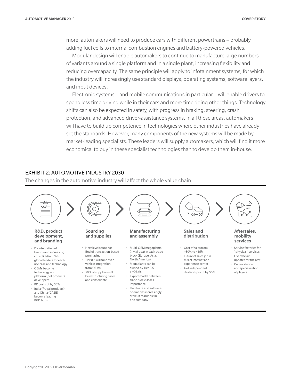more, automakers will need to produce cars with different powertrains – probably adding fuel cells to internal combustion engines and battery-powered vehicles.

Modular design will enable automakers to continue to manufacture large numbers of variants around a single platform and in a single plant, increasing flexibility and reducing overcapacity. The same principle will apply to infotainment systems, for which the industry will increasingly use standard displays, operating systems, software layers, and input devices.

Electronic systems – and mobile communications in particular – will enable drivers to spend less time driving while in their cars and more time doing other things. Technology shifts can also be expected in safety, with progress in braking, steering, crash protection, and advanced driver-assistance systems. In all these areas, automakers will have to build up competence in technologies where other industries have already set the standards. However, many components of the new systems will be made by market-leading specialists. These leaders will supply automakers, which will find it more economical to buy in these specialist technologies than to develop them in-house.

#### EXHIBIT 2: AUTOMOTIVE INDUSTRY 2030

The changes in the automotive industry will affect the whole value chain

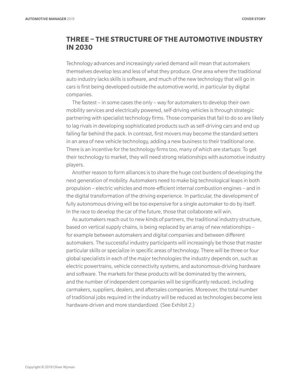## **THREE – THE STRUCTURE OF THE AUTOMOTIVE INDUSTRY IN 2030**

Technology advances and increasingly varied demand will mean that automakers themselves develop less and less of what they produce. One area where the traditional auto industry lacks skills is software, and much of the new technology that will go in cars is first being developed outside the automotive world, in particular by digital companies.

The fastest – in some cases the only – way for automakers to develop their own mobility services and electrically powered, self-driving vehicles is through strategic partnering with specialist technology firms. Those companies that fail to do so are likely to lag rivals in developing sophisticated products such as self-driving cars and end up falling far behind the pack. In contrast, first movers may become the standard setters in an area of new vehicle technology, adding a new business to their traditional one. There is an incentive for the technology firms too, many of which are startups: To get their technology to market, they will need strong relationships with automotive industry players.

Another reason to form alliances is to share the huge cost burdens of developing the next generation of mobility. Automakers need to make big technological leaps in both propulsion – electric vehicles and more-efficient internal combustion engines – and in the digital transformation of the driving experience. In particular, the development of fully autonomous driving will be too expensive for a single automaker to do by itself. In the race to develop the car of the future, those that collaborate will win.

As automakers reach out to new kinds of partners, the traditional industry structure, based on vertical supply chains, is being replaced by an array of new relationships – for example between automakers and digital companies and between different automakers. The successful industry participants will increasingly be those that master particular skills or specialize in specific areas of technology. There will be three or four global specialists in each of the major technologies the industry depends on, such as electric powertrains, vehicle connectivity systems, and autonomous-driving hardware and software. The markets for these products will be dominated by the winners, and the number of independent companies will be significantly reduced, including carmakers, suppliers, dealers, and aftersales companies. Moreover, the total number of traditional jobs required in the industry will be reduced as technologies become less hardware-driven and more standardized. (See Exhibit 2.)